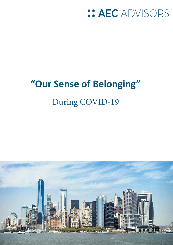## $::$  AEC ADVISORS

# **"Our Sense of Belonging"**  During COVID-19



1 www.aecadvisors.com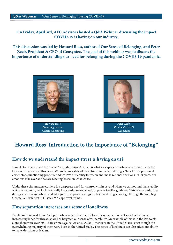On Friday, April 3rd, AEC Advisors hosted a Q&A Webinar discussing the impact COVID-19 is having on our industry.

This discussion was led by Howard Ross, author of Our Sense of Belonging, and Peter Zeeb, President & CEO of Geosyntec. The goal of this webinar was to discuss the importance of understanding our need for belonging during the COVID-19 pandemic.



Howard Ross, *Founding Partner* Udarta Consulting



Peter Zeeb, *President & CEO* Geosyntec

## Howard Ross' Introduction to the importance of "Belonging"

## How do we understand the impact stress is having on us?

Daniel Goleman coined the phrase "amygdala hijack", which is what we experience when we are faced with the kinds of stress such as this crisis. We are all in a state of collective trauma, and during a "hijack" our prefrontal cortex stops functioning properly and we love our ability to reason and make rational decisions. In its place, our emotions take over and we are reacting based on what we feel.

Under these circumstances, there is a desperate need for control within us, and when we cannot find that stability, which is common, we look externally for a leader or somebody in power to offer guidance. This is why leadership during a crisis is so critical, and why you see approval ratings for leaders during a crisis go through the roof (e.g. George W. Bush post 9/11 saw a 90% approval rating).

## How separation increases our sense of loneliness

Psychologist named John Cacioppo: when we are in a state of loneliness, perceptions of social isolation can increase vigilance for threat, as well as heighten our sense of vulnerability. An example of this is in the last week alone there were over 600+ hate crimes against Asians / Asian-Americans in the United States, even though the overwhelming majority of them were born in the United States. This sense of loneliness can also affect our ability to make decisions as leaders.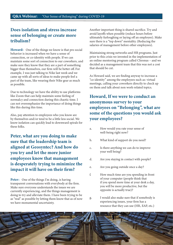## Does isolation and stress increase sense of belonging or create more tribalism?

Howard: One of the things we know is that pro social behavior is increased when we have a sense of connection, or co-identity with people. If we can maintain some sort of connection to our coworkers, and make sure they know that they are a part of something bigger than themselves, our firm will be better off. For example, I was just talking to Nike last week and we came up with all sorts of ideas to make people feel a part of the team, like wearing their Nike gear as much as possible.

Due to technology we have the ability to use platforms like Zoom that can help maintain some feeling of normalcy and connection during this chaotic time. I can not overemphasize the importance of doing things like this during this time.

Also, pay attention to employees who you know are by themselves and/or tend to be a little less social. We know isolation can quickly lead to downward spirals for these folks.

Peter, what are you doing to make sure that the leadership team is aligned at Geosyntec? And how do you try and let the more junior employees know that management is desperately trying to minimize the impact it will have on their firm?

Peter: One of the things I'm doing, is having transparent conversations with everybody at the firm. Make sure everyone understands the issues we are currently experiencing, and the things management is doing to try and alleviate them. I have been trying to be as "real" as possible by letting them know that as of now we have monumental uncertainty.

Another important thing is shared sacrifice. Try and avoid layoffs when possible (reduce hours before ultimately furloughing or laying off an employee). Make sure there is a "top down" mentality. (Reducing the salaries of management before other employees).

Maintaining strong networks and HR programs. Just prior to this crisis we invested in the implementation of an online mentoring program called Chronus – and we decided as a management team that this was not a cost that should be cut.

As Howard said, we are finding anyway to increase a "co-identity" among the employees such as: virtual meetings, calling your coworkers directly to check up on them and talk about non work-related topics.

## Howard, If we were to conduct an anonymous survey to your employees on "Belonging", what are some of the questions you would ask your employees?

- a. How would you rate your sense of well-being right now?
- b. What kind of support do you need?
- c. Is there anything we can do to improve your well being?
- d. Are you staying in contact with people?
- e. Are you going outside once a day?
- f. How much time are you spending in front of your computer (people think that if you spend more time at your desk a day, you will be more productive, but the opposite is actually true)?
- g. I would also make sure that if somebody is experiencing issues, your firm has a resource that they can use (HR, EAP, etc.)

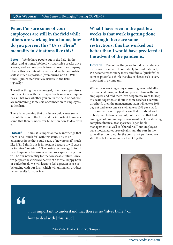## Peter, I'm sure some of your employees are still in the field while others are working from home, how do you prevent this "Us vs Them" mentality in situations like this?

Peter: We do have people out in the field, in the office, and at home. We hold virtual coffee breaks once a week, and you see people from all over the company. I know this is a difficult balance and we try and rotate staff as much as possible (even during non-COVID times—junior staff isn't exclusively in the field typically).

The other thing I've encouraged, is to have supervisors hold check-ins with their respective teams on a frequent basis. That way whether you are in the field or not, you are maintaining some sort of connection to employees at the firm.

There is no denying that this issue could cause some sort of division in the firm and it's important to understand that there is no "silver bullet" on how to deal with it.

Howard: I think it is important to acknowledge that there is no "quick fix" with this issue. This is an enormous issue that could cause a "new normal" much like 9/11. I think this is important because it will cause us to think "long-term". Start using technology to touch base frequently, because what we are experiencing now will be our new reality for the foreseeable future. Once we get past the awkward nature of a virtual happy hour or coffee break, we will learn to feel a greater sense of belonging with our firm, which will ultimately produce better results for your firm.

What I have seen in the past few weeks is that work is getting done. Although there are some restrictions, this has worked out better than I would have predicted at the advent of the pandemic.

Howard: One of the things we found is that during a crisis our brain affects our ability to think rationally. We become reactionary to try and find a "quick fix" as soon as possible. I think the idea of shared risk is very important in a company.

When I was working at my consulting firm right after the financial crisis, we had an open meeting with our employees and told them "we desperately want to keep this team together, so if our income reaches a certain threshold, then the management team will take a 20% pay cut and everyone else will take a 10% pay cut. It turns out we never dipped below that threshold and nobody had to take a pay cut, but the effect that had among all of our employees was significant. By showing complete financial transparency (open book management) as well as "shared risk" our employees were motivated to, proverbially, pull the oars in the same direction to not let the company's performance slip. People knew we were all in it together.



66

... it's important to understand that there is no "silver bullet" on how to deal with [this issue].

Peter Zeeb, President & CEO, Geosyntec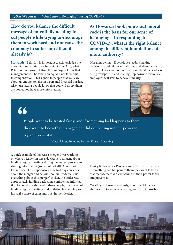How do you balance the difficult message of potentially needing to cut people while trying to encourage them to work hard and not cause the company to suffer more than it already is?

Howard: I think it is important to acknowledge the amount of uncertainty we have right now. Also, what Peter said in terms of letting the employees know that management will be taking an equal if not larger hit to compensation. This signals to people that you care about us enough to take on a personal financial burden. Also, just letting people know that you will notify them as soon as you have more information.

As Howard's book points out, moral code is the basis for our sense of belonging. In responding to COVID-19, what is the right balance among the different foundations of moral authority?

Moral modeling – If people see leaders making decisions based off our moral code, and shared ethics, then employees will follow. For example, if the leader is being transparent, and making "top down" decisions, all employees will start to behave similarly.



66

People want to be treated fairly, and if something bad happens to them they want to know that management did everything in their power to try and prevent it.

Howard Ross, Founding Partner, Udarta Consulting

A quick example of this was a merger I was working on where a leader on one side was very diligent about holding regular meetings during the merger process and sharing information (some but not all). At one point I asked one of his supervisors if he had any concerns about the merger and he said "no, our leader tells us everything about this merger." In fact, the leader was appropriately holding back some confidential information he could not share with these people, but the act of holding regular meetings and updating his people gave his staff a sense of calm and trust in their leader.

Equity & Fairness – People want to be treated fairly, and if something bad happens to them they want to know that management did everything in their power to try and prevent it.

Creating no harm – obviously, in our decisions, we always want to focus on creating no harm, if possible.